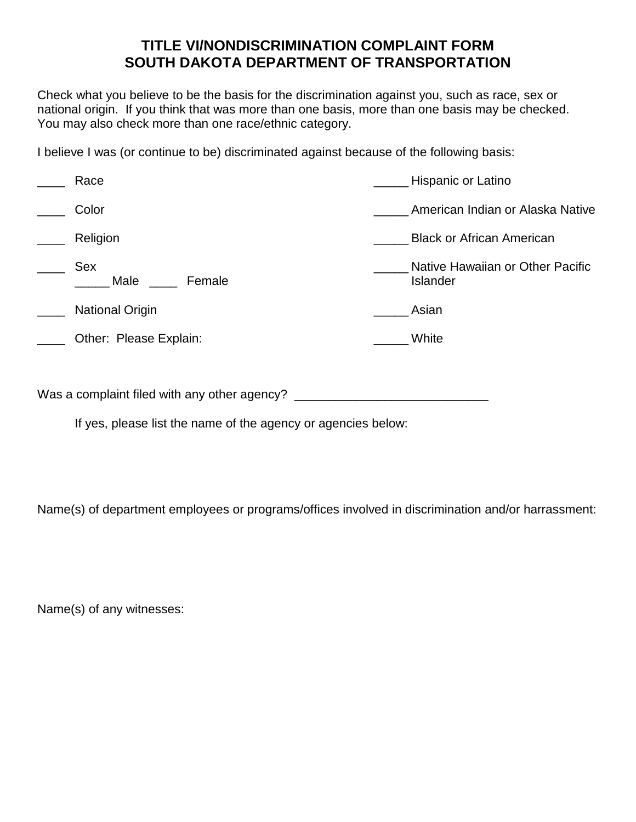## **TITLE VI/NONDISCRIMINATION COMPLAINT FORM SOUTH DAKOTA DEPARTMENT OF TRANSPORTATION**

Check what you believe to be the basis for the discrimination against you, such as race, sex or national origin. If you think that was more than one basis, more than one basis may be checked. You may also check more than one race/ethnic category.

I believe I was (or continue to be) discriminated against because of the following basis:

| Race                   | Hispanic or Latino                                  |
|------------------------|-----------------------------------------------------|
| Color                  | American Indian or Alaska Native                    |
| Religion               | <b>Black or African American</b>                    |
| Sex<br>Male<br>Female  | Native Hawaiian or Other Pacific<br><b>Islander</b> |
| <b>National Origin</b> | Asian                                               |
| Other: Please Explain: | White                                               |
|                        |                                                     |

Was a complaint filed with any other agency? \_\_\_\_\_\_\_\_\_\_\_\_\_\_\_\_\_\_\_\_\_\_\_\_\_\_\_\_\_\_\_\_\_\_\_

If yes, please list the name of the agency or agencies below:

Name(s) of department employees or programs/offices involved in discrimination and/or harrassment:

Name(s) of any witnesses: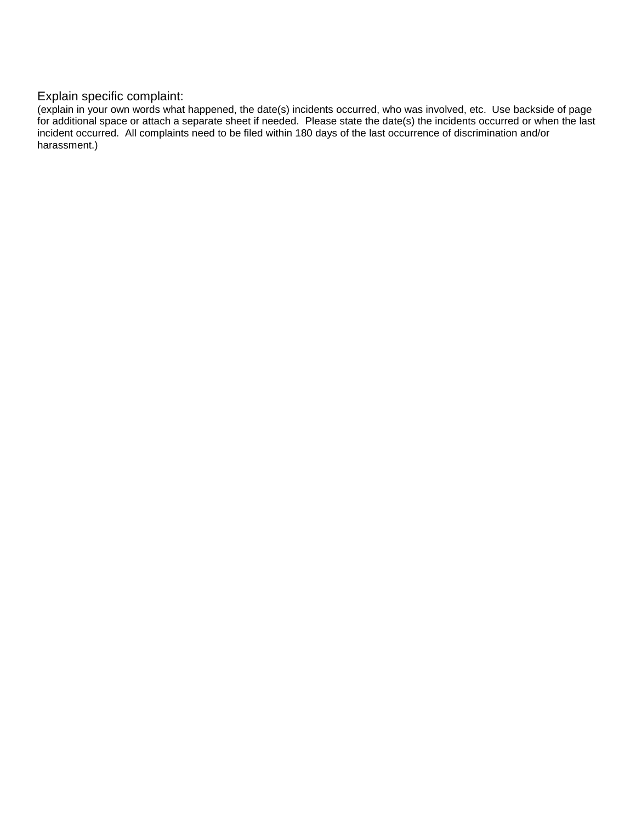## Explain specific complaint:

(explain in your own words what happened, the date(s) incidents occurred, who was involved, etc. Use backside of page for additional space or attach a separate sheet if needed. Please state the date(s) the incidents occurred or when the last incident occurred. All complaints need to be filed within 180 days of the last occurrence of discrimination and/or harassment.)